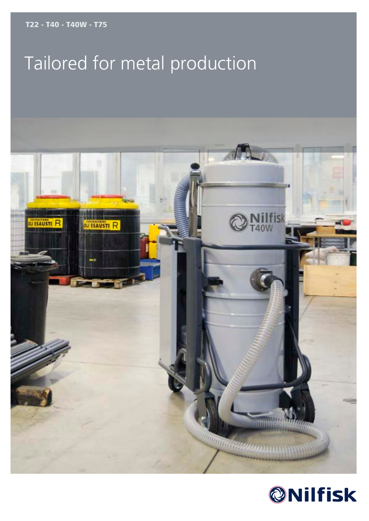T22 - T40 - T40W - T75

# Tailored for metal production



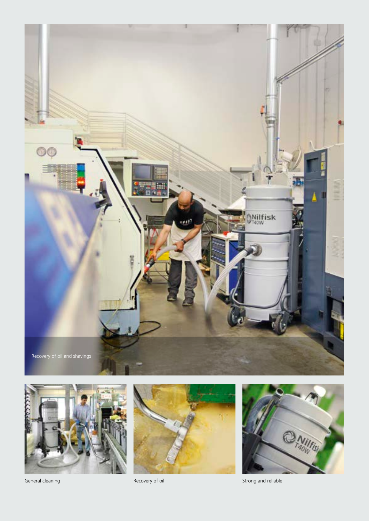







General cleaning **Contract Contract Contract Contract Contract Contract Contract Contract Contract Contract Contract Contract Contract Contract Contract Contract Contract Contract Contract Contract Contract Contract Contra**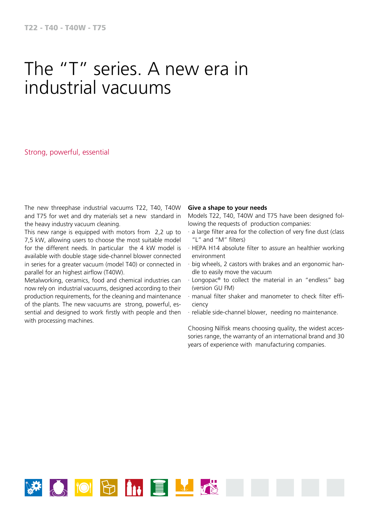### The "T" series. A new era in industrial vacuums

Strong, powerful, essential

The new threephase industrial vacuums T22, T40, T40W and T75 for wet and dry materials set a new standard in the heavy industry vacuum cleaning.

This new range is equipped with motors from 2,2 up to 7,5 kW, allowing users to choose the most suitable model for the different needs. In particular the 4 kW model is available with double stage side-channel blower connected in series for a greater vacuum (model T40) or connected in parallel for an highest airflow (T40W).

Metalworking, ceramics, food and chemical industries can now rely on industrial vacuums, designed according to their production requirements, for the cleaning and maintenance of the plants. The new vacuums are strong, powerful, essential and designed to work firstly with people and then with processing machines.

#### **Give a shape to your needs**

Models T22, T40, T40W and T75 have been designed following the requests of production companies:

- · a large filter area for the collection of very fine dust (class "L" and "M" filters)
- · HEPA H14 absolute filter to assure an healthier working environment
- · big wheels, 2 castors with brakes and an ergonomic handle to easily move the vacuum
- · Longopac® to collect the material in an "endless" bag (version GU FM)
- · manual filter shaker and manometer to check filter efficiency
- · reliable side-channel blower, needing no maintenance.

Choosing Nilfisk means choosing quality, the widest accessories range, the warranty of an international brand and 30 years of experience with manufacturing companies.